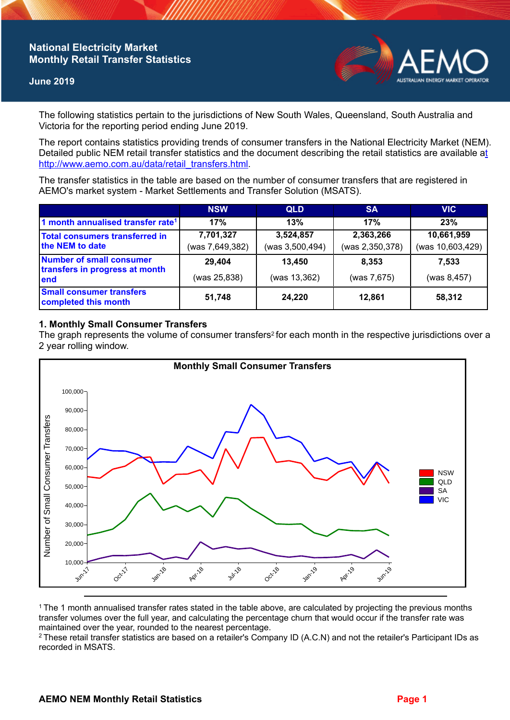# **National Electricity Market Monthly Retail Transfer Statistics**

#### **June 2019**



The following statistics pertain to the jurisdictions of New South Wales, Queensland, South Australia and Victoria for the reporting period ending June 2019.

The report contains statistics providing trends of consumer transfers in the National Electricity Market (NEM). Detailed public NEM retail transfer statistics and the document describing the retail statistics are available a[t](http://www.aemo.com.au/data/retail_transfers.html)  http://www.aemo.com.au/data/retail\_transfers.html

The transfer statistics in the table are based on the number of consumer transfers that are registered in AEMO's market system - Market Settlements and Transfer Solution (MSATS).

|                                                                    | <b>NSW</b>                   | <b>QLD</b>                   | <b>SA</b>                    | <b>VIC</b>                     |
|--------------------------------------------------------------------|------------------------------|------------------------------|------------------------------|--------------------------------|
| 1 month annualised transfer rate <sup>1</sup>                      | 17%                          | 13%                          | 17%                          | 23%                            |
| <b>Total consumers transferred in</b><br>the NEM to date           | 7,701,327<br>(was 7,649,382) | 3,524,857<br>(was 3,500,494) | 2,363,266<br>(was 2,350,378) | 10,661,959<br>(was 10,603,429) |
| Number of small consumer<br>transfers in progress at month<br>lend | 29,404<br>(was 25,838)       | 13,450<br>(was 13,362)       | 8.353<br>(was 7,675)         | 7,533<br>(was 8,457)           |
| <b>Small consumer transfers</b><br>completed this month            | 51,748                       | 24,220                       | 12,861                       | 58,312                         |

### **1. Monthly Small Consumer Transfers**

The graph represents the volume of consumer transfers<sup>2</sup> for each month in the respective jurisdictions over a 2 year rolling window.



<sup>1</sup>The 1 month annualised transfer rates stated in the table above, are calculated by projecting the previous months transfer volumes over the full year, and calculating the percentage churn that would occur if the transfer rate was maintained over the year, rounded to the nearest percentage.

<sup>2</sup> These retail transfer statistics are based on a retailer's Company ID (A.C.N) and not the retailer's Participant IDs as recorded in MSATS.